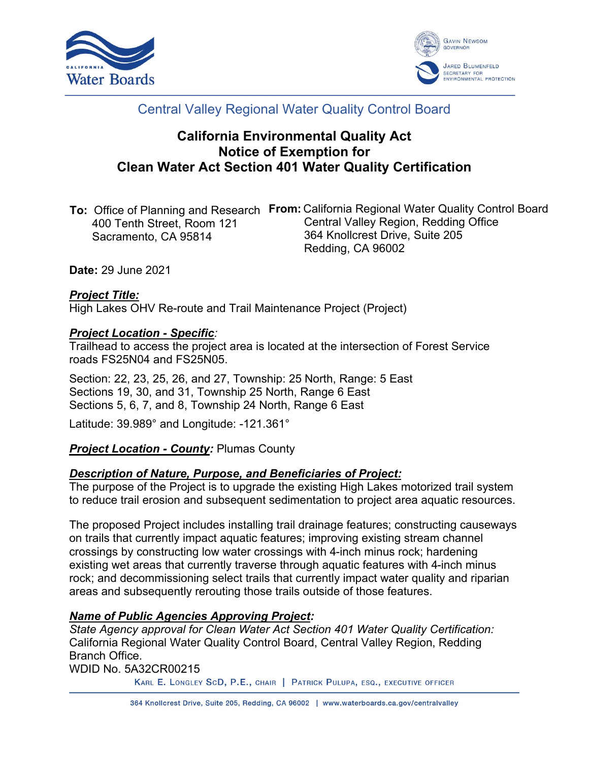



# Central Valley Regional Water Quality Control Board

# **California Environmental Quality Act Notice of Exemption for Clean Water Act Section 401 Water Quality Certification**

| <b>To:</b> Office of Planning and Research | <b>From:</b> California Regional Water Quality Control Board |
|--------------------------------------------|--------------------------------------------------------------|
| 400 Tenth Street, Room 121                 | Central Valley Region, Redding Office                        |
| Sacramento, CA 95814                       | 364 Knollcrest Drive, Suite 205                              |
|                                            | Redding, CA 96002                                            |

**Date:** 29 June 2021

## *Project Title:*

High Lakes OHV Re-route and Trail Maintenance Project (Project)

#### *Project Location - Specific:*

Trailhead to access the project area is located at the intersection of Forest Service roads FS25N04 and FS25N05.

Section: 22, 23, 25, 26, and 27, Township: 25 North, Range: 5 East Sections 19, 30, and 31, Township 25 North, Range 6 East Sections 5, 6, 7, and 8, Township 24 North, Range 6 East

Latitude: 39.989° and Longitude: -121.361°

#### *Project Location - County:* Plumas County

#### *Description of Nature, Purpose, and Beneficiaries of Project:*

The purpose of the Project is to upgrade the existing High Lakes motorized trail system to reduce trail erosion and subsequent sedimentation to project area aquatic resources.

The proposed Project includes installing trail drainage features; constructing causeways on trails that currently impact aquatic features; improving existing stream channel crossings by constructing low water crossings with 4-inch minus rock; hardening existing wet areas that currently traverse through aquatic features with 4-inch minus rock; and decommissioning select trails that currently impact water quality and riparian areas and subsequently rerouting those trails outside of those features.

#### *Name of Public Agencies Approving Project:*

*State Agency approval for Clean Water Act Section 401 Water Quality Certification:* California Regional Water Quality Control Board, Central Valley Region, Redding Branch Office.

WDID No. 5A32CR00215

KARL E. LONGLEY SCD, P.E., CHAIR | PATRICK PULUPA, ESQ., EXECUTIVE OFFICER